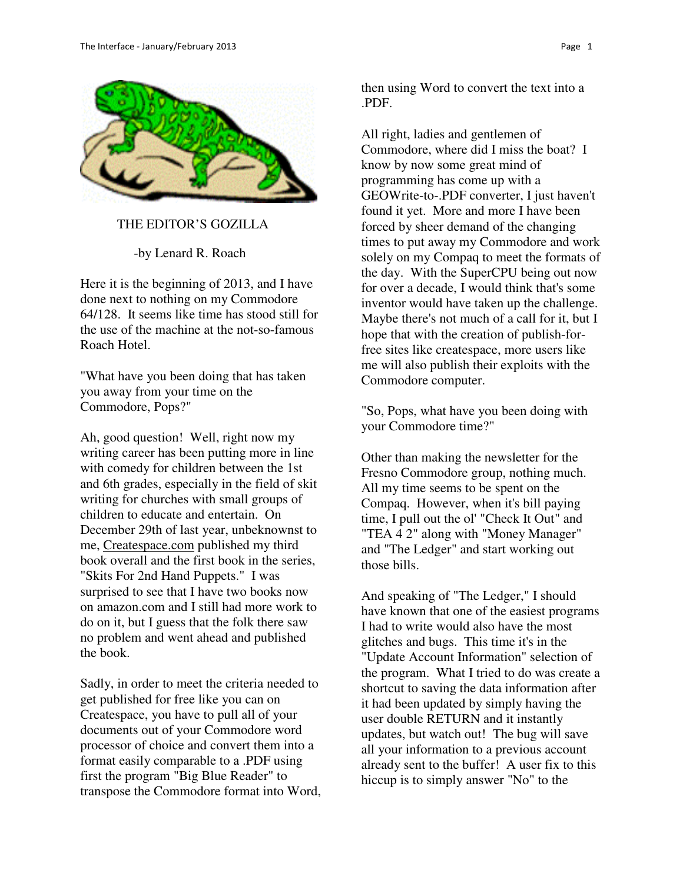

THE EDITOR'S GOZILLA

-by Lenard R. Roach

Here it is the beginning of 2013, and I have done next to nothing on my Commodore 64/128. It seems like time has stood still for the use of the machine at the not-so-famous Roach Hotel.

"What have you been doing that has taken you away from your time on the Commodore, Pops?"

Ah, good question! Well, right now my writing career has been putting more in line with comedy for children between the 1st and 6th grades, especially in the field of skit writing for churches with small groups of children to educate and entertain. On December 29th of last year, unbeknownst to me, Createspace.com published my third book overall and the first book in the series, "Skits For 2nd Hand Puppets." I was surprised to see that I have two books now on amazon.com and I still had more work to do on it, but I guess that the folk there saw no problem and went ahead and published the book.

Sadly, in order to meet the criteria needed to get published for free like you can on Createspace, you have to pull all of your documents out of your Commodore word processor of choice and convert them into a format easily comparable to a .PDF using first the program "Big Blue Reader" to transpose the Commodore format into Word, then using Word to convert the text into a .PDF.

All right, ladies and gentlemen of Commodore, where did I miss the boat? I know by now some great mind of programming has come up with a GEOWrite-to-.PDF converter, I just haven't found it yet. More and more I have been forced by sheer demand of the changing times to put away my Commodore and work solely on my Compaq to meet the formats of the day. With the SuperCPU being out now for over a decade, I would think that's some inventor would have taken up the challenge. Maybe there's not much of a call for it, but I hope that with the creation of publish-forfree sites like createspace, more users like me will also publish their exploits with the Commodore computer.

"So, Pops, what have you been doing with your Commodore time?"

Other than making the newsletter for the Fresno Commodore group, nothing much. All my time seems to be spent on the Compaq. However, when it's bill paying time, I pull out the ol' "Check It Out" and "TEA 4 2" along with "Money Manager" and "The Ledger" and start working out those bills.

And speaking of "The Ledger," I should have known that one of the easiest programs I had to write would also have the most glitches and bugs. This time it's in the "Update Account Information" selection of the program. What I tried to do was create a shortcut to saving the data information after it had been updated by simply having the user double RETURN and it instantly updates, but watch out! The bug will save all your information to a previous account already sent to the buffer! A user fix to this hiccup is to simply answer "No" to the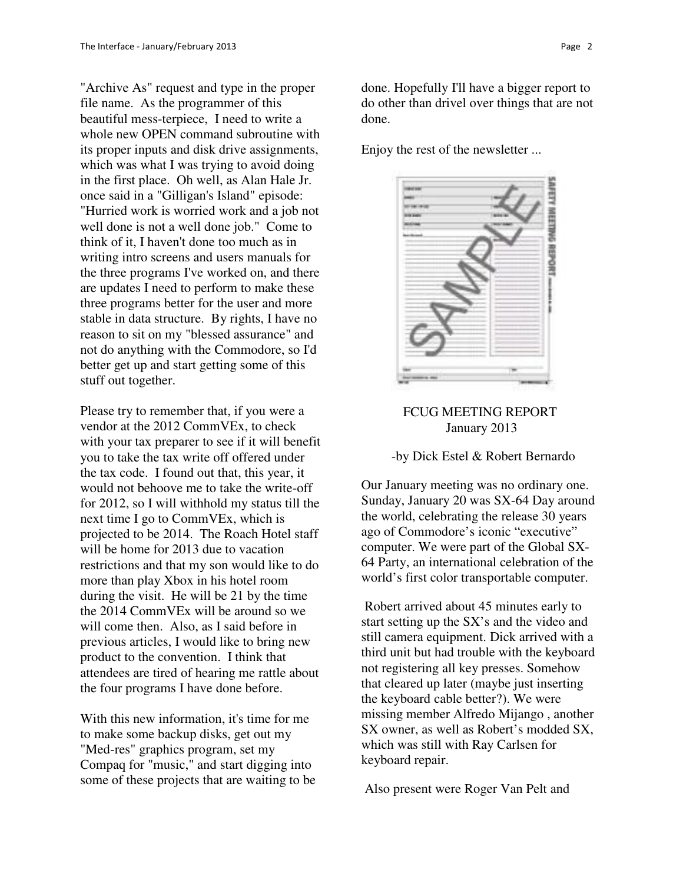"Archive As" request and type in the proper file name. As the programmer of this beautiful mess-terpiece, I need to write a whole new OPEN command subroutine with its proper inputs and disk drive assignments, which was what I was trying to avoid doing in the first place. Oh well, as Alan Hale Jr. once said in a "Gilligan's Island" episode: "Hurried work is worried work and a job not well done is not a well done job." Come to think of it, I haven't done too much as in writing intro screens and users manuals for the three programs I've worked on, and there are updates I need to perform to make these three programs better for the user and more stable in data structure. By rights, I have no reason to sit on my "blessed assurance" and not do anything with the Commodore, so I'd better get up and start getting some of this stuff out together.

Please try to remember that, if you were a vendor at the 2012 CommVEx, to check with your tax preparer to see if it will benefit you to take the tax write off offered under the tax code. I found out that, this year, it would not behoove me to take the write-off for 2012, so I will withhold my status till the next time I go to CommVEx, which is projected to be 2014. The Roach Hotel staff will be home for 2013 due to vacation restrictions and that my son would like to do more than play Xbox in his hotel room during the visit. He will be 21 by the time the 2014 CommVEx will be around so we will come then. Also, as I said before in previous articles, I would like to bring new product to the convention. I think that attendees are tired of hearing me rattle about the four programs I have done before.

With this new information, it's time for me to make some backup disks, get out my "Med-res" graphics program, set my Compaq for "music," and start digging into some of these projects that are waiting to be done. Hopefully I'll have a bigger report to do other than drivel over things that are not done.

Enjoy the rest of the newsletter ...



## FCUG MEETING REPORT January 2013

#### -by Dick Estel & Robert Bernardo

Our January meeting was no ordinary one. Sunday, January 20 was SX-64 Day around the world, celebrating the release 30 years ago of Commodore's iconic "executive" computer. We were part of the Global SX-64 Party, an international celebration of the world's first color transportable computer.

 Robert arrived about 45 minutes early to start setting up the SX's and the video and still camera equipment. Dick arrived with a third unit but had trouble with the keyboard not registering all key presses. Somehow that cleared up later (maybe just inserting the keyboard cable better?). We were missing member Alfredo Mijango , another SX owner, as well as Robert's modded SX, which was still with Ray Carlsen for keyboard repair.

Also present were Roger Van Pelt and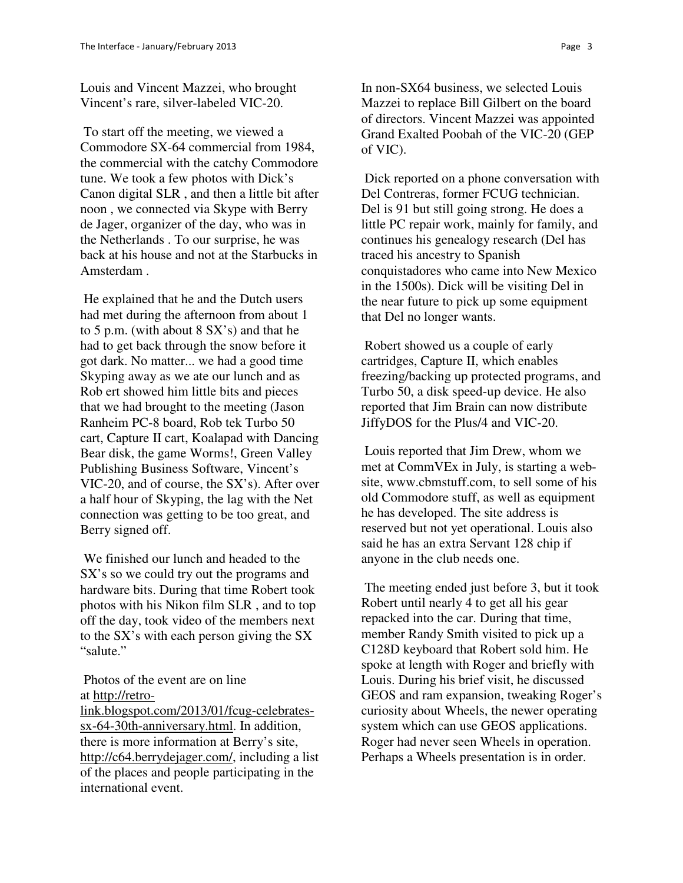Louis and Vincent Mazzei, who brought Vincent's rare, silver-labeled VIC-20.

 To start off the meeting, we viewed a Commodore SX-64 commercial from 1984, the commercial with the catchy Commodore tune. We took a few photos with Dick's Canon digital SLR , and then a little bit after noon , we connected via Skype with Berry de Jager, organizer of the day, who was in the Netherlands . To our surprise, he was back at his house and not at the Starbucks in Amsterdam .

 He explained that he and the Dutch users had met during the afternoon from about 1 to 5 p.m. (with about 8 SX's) and that he had to get back through the snow before it got dark. No matter... we had a good time Skyping away as we ate our lunch and as Rob ert showed him little bits and pieces that we had brought to the meeting (Jason Ranheim PC-8 board, Rob tek Turbo 50 cart, Capture II cart, Koalapad with Dancing Bear disk, the game Worms!, Green Valley Publishing Business Software, Vincent's VIC-20, and of course, the SX's). After over a half hour of Skyping, the lag with the Net connection was getting to be too great, and Berry signed off.

 We finished our lunch and headed to the SX's so we could try out the programs and hardware bits. During that time Robert took photos with his Nikon film SLR , and to top off the day, took video of the members next to the SX's with each person giving the SX "salute."

 Photos of the event are on line at http://retro-

link.blogspot.com/2013/01/fcug-celebratessx-64-30th-anniversary.html. In addition, there is more information at Berry's site, http://c64.berrydejager.com/, including a list of the places and people participating in the international event.

In non-SX64 business, we selected Louis Mazzei to replace Bill Gilbert on the board of directors. Vincent Mazzei was appointed Grand Exalted Poobah of the VIC-20 (GEP of VIC).

 Dick reported on a phone conversation with Del Contreras, former FCUG technician. Del is 91 but still going strong. He does a little PC repair work, mainly for family, and continues his genealogy research (Del has traced his ancestry to Spanish conquistadores who came into New Mexico in the 1500s). Dick will be visiting Del in the near future to pick up some equipment that Del no longer wants.

 Robert showed us a couple of early cartridges, Capture II, which enables freezing/backing up protected programs, and Turbo 50, a disk speed-up device. He also reported that Jim Brain can now distribute JiffyDOS for the Plus/4 and VIC-20.

 Louis reported that Jim Drew, whom we met at CommVEx in July, is starting a website, www.cbmstuff.com, to sell some of his old Commodore stuff, as well as equipment he has developed. The site address is reserved but not yet operational. Louis also said he has an extra Servant 128 chip if anyone in the club needs one.

 The meeting ended just before 3, but it took Robert until nearly 4 to get all his gear repacked into the car. During that time, member Randy Smith visited to pick up a C128D keyboard that Robert sold him. He spoke at length with Roger and briefly with Louis. During his brief visit, he discussed GEOS and ram expansion, tweaking Roger's curiosity about Wheels, the newer operating system which can use GEOS applications. Roger had never seen Wheels in operation. Perhaps a Wheels presentation is in order.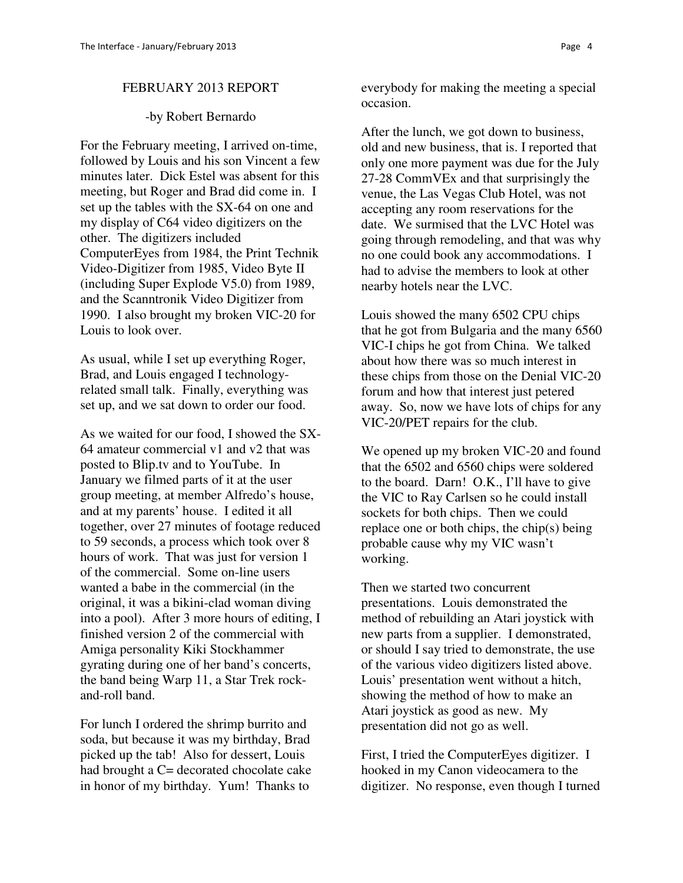#### FEBRUARY 2013 REPORT

#### -by Robert Bernardo

For the February meeting, I arrived on-time, followed by Louis and his son Vincent a few minutes later. Dick Estel was absent for this meeting, but Roger and Brad did come in. I set up the tables with the SX-64 on one and my display of C64 video digitizers on the other. The digitizers included ComputerEyes from 1984, the Print Technik Video-Digitizer from 1985, Video Byte II (including Super Explode V5.0) from 1989, and the Scanntronik Video Digitizer from 1990. I also brought my broken VIC-20 for Louis to look over.

As usual, while I set up everything Roger, Brad, and Louis engaged I technologyrelated small talk. Finally, everything was set up, and we sat down to order our food.

As we waited for our food, I showed the SX-64 amateur commercial v1 and v2 that was posted to Blip.tv and to YouTube. In January we filmed parts of it at the user group meeting, at member Alfredo's house, and at my parents' house. I edited it all together, over 27 minutes of footage reduced to 59 seconds, a process which took over 8 hours of work. That was just for version 1 of the commercial. Some on-line users wanted a babe in the commercial (in the original, it was a bikini-clad woman diving into a pool). After 3 more hours of editing, I finished version 2 of the commercial with Amiga personality Kiki Stockhammer gyrating during one of her band's concerts, the band being Warp 11, a Star Trek rockand-roll band.

For lunch I ordered the shrimp burrito and soda, but because it was my birthday, Brad picked up the tab! Also for dessert, Louis had brought a C= decorated chocolate cake in honor of my birthday. Yum! Thanks to

everybody for making the meeting a special occasion.

After the lunch, we got down to business, old and new business, that is. I reported that only one more payment was due for the July 27-28 CommVEx and that surprisingly the venue, the Las Vegas Club Hotel, was not accepting any room reservations for the date. We surmised that the LVC Hotel was going through remodeling, and that was why no one could book any accommodations. I had to advise the members to look at other nearby hotels near the LVC.

Louis showed the many 6502 CPU chips that he got from Bulgaria and the many 6560 VIC-I chips he got from China. We talked about how there was so much interest in these chips from those on the Denial VIC-20 forum and how that interest just petered away. So, now we have lots of chips for any VIC-20/PET repairs for the club.

We opened up my broken VIC-20 and found that the 6502 and 6560 chips were soldered to the board. Darn! O.K., I'll have to give the VIC to Ray Carlsen so he could install sockets for both chips. Then we could replace one or both chips, the chip(s) being probable cause why my VIC wasn't working.

Then we started two concurrent presentations. Louis demonstrated the method of rebuilding an Atari joystick with new parts from a supplier. I demonstrated, or should I say tried to demonstrate, the use of the various video digitizers listed above. Louis' presentation went without a hitch, showing the method of how to make an Atari joystick as good as new. My presentation did not go as well.

First, I tried the ComputerEyes digitizer. I hooked in my Canon videocamera to the digitizer. No response, even though I turned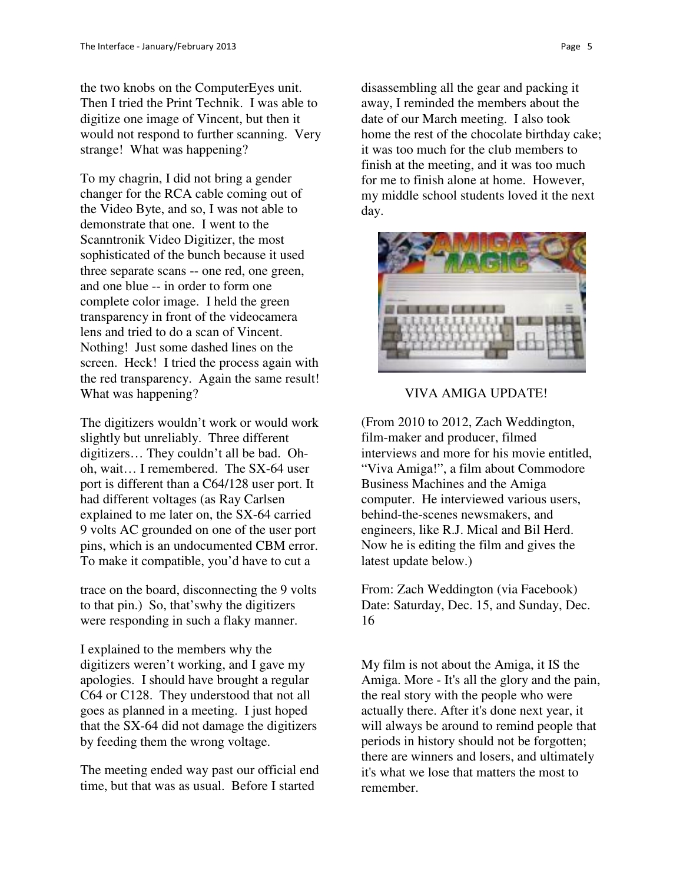the two knobs on the ComputerEyes unit. Then I tried the Print Technik. I was able to digitize one image of Vincent, but then it would not respond to further scanning. Very strange! What was happening?

To my chagrin, I did not bring a gender changer for the RCA cable coming out of the Video Byte, and so, I was not able to demonstrate that one. I went to the Scanntronik Video Digitizer, the most sophisticated of the bunch because it used three separate scans -- one red, one green, and one blue -- in order to form one complete color image. I held the green transparency in front of the videocamera lens and tried to do a scan of Vincent. Nothing! Just some dashed lines on the screen. Heck! I tried the process again with the red transparency. Again the same result! What was happening?

The digitizers wouldn't work or would work slightly but unreliably. Three different digitizers… They couldn't all be bad. Ohoh, wait… I remembered. The SX-64 user port is different than a C64/128 user port. It had different voltages (as Ray Carlsen explained to me later on, the SX-64 carried 9 volts AC grounded on one of the user port pins, which is an undocumented CBM error. To make it compatible, you'd have to cut a

trace on the board, disconnecting the 9 volts to that pin.) So, that'swhy the digitizers were responding in such a flaky manner.

I explained to the members why the digitizers weren't working, and I gave my apologies. I should have brought a regular C64 or C128. They understood that not all goes as planned in a meeting. I just hoped that the SX-64 did not damage the digitizers by feeding them the wrong voltage.

The meeting ended way past our official end time, but that was as usual. Before I started

disassembling all the gear and packing it away, I reminded the members about the date of our March meeting. I also took home the rest of the chocolate birthday cake; it was too much for the club members to finish at the meeting, and it was too much for me to finish alone at home. However, my middle school students loved it the next day.



VIVA AMIGA UPDATE!

(From 2010 to 2012, Zach Weddington, film-maker and producer, filmed interviews and more for his movie entitled, "Viva Amiga!", a film about Commodore Business Machines and the Amiga computer. He interviewed various users, behind-the-scenes newsmakers, and engineers, like R.J. Mical and Bil Herd. Now he is editing the film and gives the latest update below.)

From: Zach Weddington (via Facebook) Date: Saturday, Dec. 15, and Sunday, Dec. 16

My film is not about the Amiga, it IS the Amiga. More - It's all the glory and the pain, the real story with the people who were actually there. After it's done next year, it will always be around to remind people that periods in history should not be forgotten; there are winners and losers, and ultimately it's what we lose that matters the most to remember.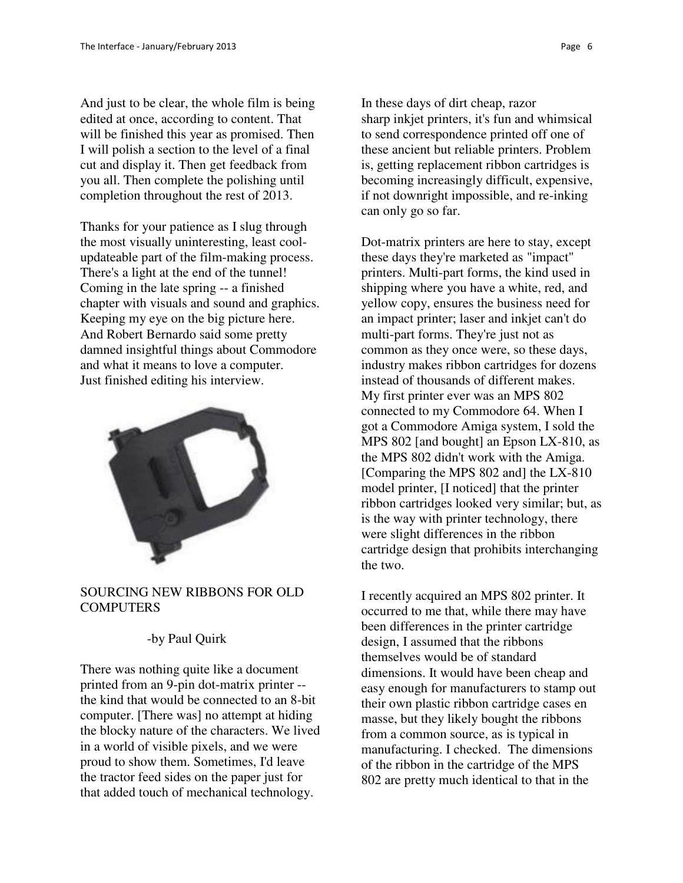And just to be clear, the whole film is being edited at once, according to content. That will be finished this year as promised. Then I will polish a section to the level of a final cut and display it. Then get feedback from you all. Then complete the polishing until completion throughout the rest of 2013.

Thanks for your patience as I slug through the most visually uninteresting, least coolupdateable part of the film-making process. There's a light at the end of the tunnel! Coming in the late spring -- a finished chapter with visuals and sound and graphics. Keeping my eye on the big picture here. And Robert Bernardo said some pretty damned insightful things about Commodore and what it means to love a computer. Just finished editing his interview.



### SOURCING NEW RIBBONS FOR OLD **COMPUTERS**

## -by Paul Quirk

There was nothing quite like a document printed from an 9-pin dot-matrix printer - the kind that would be connected to an 8-bit computer. [There was] no attempt at hiding the blocky nature of the characters. We lived in a world of visible pixels, and we were proud to show them. Sometimes, I'd leave the tractor feed sides on the paper just for that added touch of mechanical technology.

In these days of dirt cheap, razor sharp inkjet printers, it's fun and whimsical to send correspondence printed off one of these ancient but reliable printers. Problem is, getting replacement ribbon cartridges is becoming increasingly difficult, expensive, if not downright impossible, and re-inking can only go so far.

Dot-matrix printers are here to stay, except these days they're marketed as "impact" printers. Multi-part forms, the kind used in shipping where you have a white, red, and yellow copy, ensures the business need for an impact printer; laser and inkjet can't do multi-part forms. They're just not as common as they once were, so these days, industry makes ribbon cartridges for dozens instead of thousands of different makes. My first printer ever was an MPS 802 connected to my Commodore 64. When I got a Commodore Amiga system, I sold the MPS 802 [and bought] an Epson LX-810, as the MPS 802 didn't work with the Amiga. [Comparing the MPS 802 and] the LX-810 model printer, [I noticed] that the printer ribbon cartridges looked very similar; but, as is the way with printer technology, there were slight differences in the ribbon cartridge design that prohibits interchanging the two.

I recently acquired an MPS 802 printer. It occurred to me that, while there may have been differences in the printer cartridge design, I assumed that the ribbons themselves would be of standard dimensions. It would have been cheap and easy enough for manufacturers to stamp out their own plastic ribbon cartridge cases en masse, but they likely bought the ribbons from a common source, as is typical in manufacturing. I checked. The dimensions of the ribbon in the cartridge of the MPS 802 are pretty much identical to that in the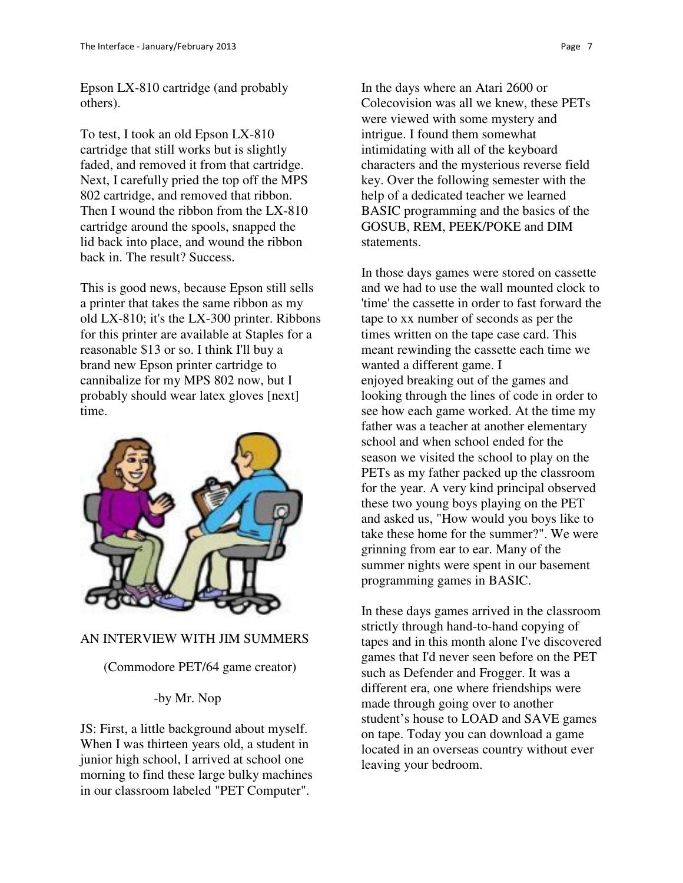Epson LX-810 cartridge (and probably others).

To test, I took an old Epson LX-810 cartridge that still works but is slightly faded, and removed it from that cartridge. Next, I carefully pried the top off the MPS 802 cartridge, and removed that ribbon. Then I wound the ribbon from the LX-810 cartridge around the spools, snapped the lid back into place, and wound the ribbon back in. The result? Success.

This is good news, because Epson still sells a printer that takes the same ribbon as my old LX-810; it's the LX-300 printer. Ribbons for this printer are available at Staples for a reasonable \$13 or so. I think I'll buy a brand new Epson printer cartridge to cannibalize for my MPS 802 now, but I probably should wear latex gloves [next] time.



## AN INTERVIEW WITH JIM SUMMERS

## (Commodore PET/64 game creator)

# -by Mr. Nop

JS: First, a little background about myself. When I was thirteen years old, a student in junior high school, I arrived at school one morning to find these large bulky machines in our classroom labeled "PET Computer".

In the days where an Atari 2600 or Colecovision was all we knew, these PETs were viewed with some mystery and intrigue. I found them somewhat intimidating with all of the keyboard characters and the mysterious reverse field key. Over the following semester with the help of a dedicated teacher we learned BASIC programming and the basics of the GOSUB, REM, PEEK/POKE and DIM statements.

In those days games were stored on cassette and we had to use the wall mounted clock to 'time' the cassette in order to fast forward the tape to xx number of seconds as per the times written on the tape case card. This meant rewinding the cassette each time we wanted a different game. I enjoyed breaking out of the games and looking through the lines of code in order to see how each game worked. At the time my father was a teacher at another elementary school and when school ended for the season we visited the school to play on the PETs as my father packed up the classroom for the year. A very kind principal observed these two young boys playing on the PET and asked us, "How would you boys like to take these home for the summer?". We were grinning from ear to ear. Many of the summer nights were spent in our basement programming games in BASIC.

In these days games arrived in the classroom strictly through hand-to-hand copying of tapes and in this month alone I've discovered games that I'd never seen before on the PET such as Defender and Frogger. It was a different era, one where friendships were made through going over to another student's house to LOAD and SAVE games on tape. Today you can download a game located in an overseas country without ever leaving your bedroom.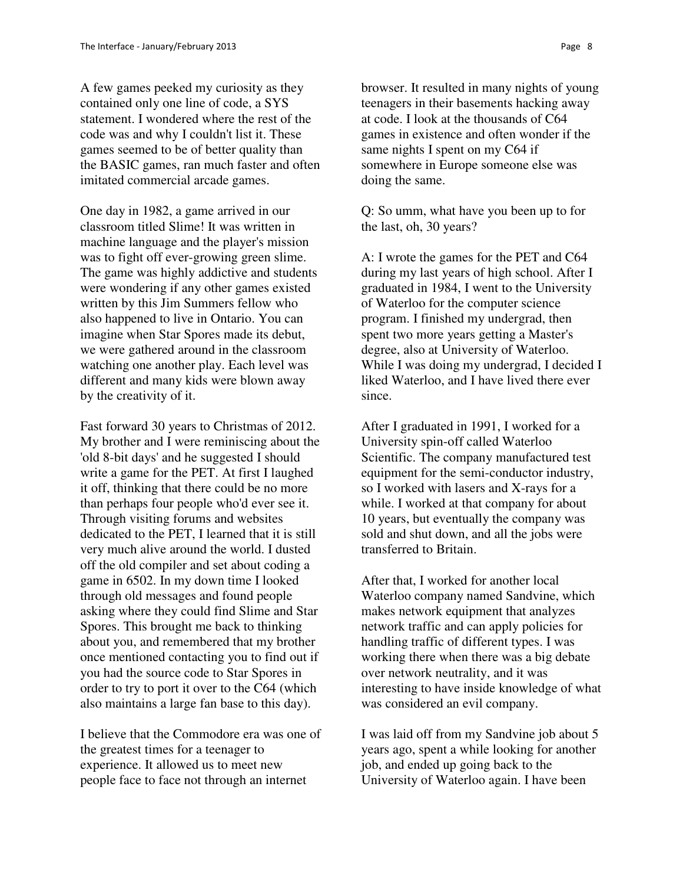A few games peeked my curiosity as they contained only one line of code, a SYS statement. I wondered where the rest of the code was and why I couldn't list it. These games seemed to be of better quality than the BASIC games, ran much faster and often imitated commercial arcade games.

One day in 1982, a game arrived in our classroom titled Slime! It was written in machine language and the player's mission was to fight off ever-growing green slime. The game was highly addictive and students were wondering if any other games existed written by this Jim Summers fellow who also happened to live in Ontario. You can imagine when Star Spores made its debut, we were gathered around in the classroom watching one another play. Each level was different and many kids were blown away by the creativity of it.

Fast forward 30 years to Christmas of 2012. My brother and I were reminiscing about the 'old 8-bit days' and he suggested I should write a game for the PET. At first I laughed it off, thinking that there could be no more than perhaps four people who'd ever see it. Through visiting forums and websites dedicated to the PET, I learned that it is still very much alive around the world. I dusted off the old compiler and set about coding a game in 6502. In my down time I looked through old messages and found people asking where they could find Slime and Star Spores. This brought me back to thinking about you, and remembered that my brother once mentioned contacting you to find out if you had the source code to Star Spores in order to try to port it over to the C64 (which also maintains a large fan base to this day).

I believe that the Commodore era was one of the greatest times for a teenager to experience. It allowed us to meet new people face to face not through an internet

browser. It resulted in many nights of young teenagers in their basements hacking away at code. I look at the thousands of C64 games in existence and often wonder if the same nights I spent on my C64 if somewhere in Europe someone else was doing the same.

Q: So umm, what have you been up to for the last, oh, 30 years?

A: I wrote the games for the PET and C64 during my last years of high school. After I graduated in 1984, I went to the University of Waterloo for the computer science program. I finished my undergrad, then spent two more years getting a Master's degree, also at University of Waterloo. While I was doing my undergrad, I decided I liked Waterloo, and I have lived there ever since.

After I graduated in 1991, I worked for a University spin-off called Waterloo Scientific. The company manufactured test equipment for the semi-conductor industry, so I worked with lasers and X-rays for a while. I worked at that company for about 10 years, but eventually the company was sold and shut down, and all the jobs were transferred to Britain.

After that, I worked for another local Waterloo company named Sandvine, which makes network equipment that analyzes network traffic and can apply policies for handling traffic of different types. I was working there when there was a big debate over network neutrality, and it was interesting to have inside knowledge of what was considered an evil company.

I was laid off from my Sandvine job about 5 years ago, spent a while looking for another job, and ended up going back to the University of Waterloo again. I have been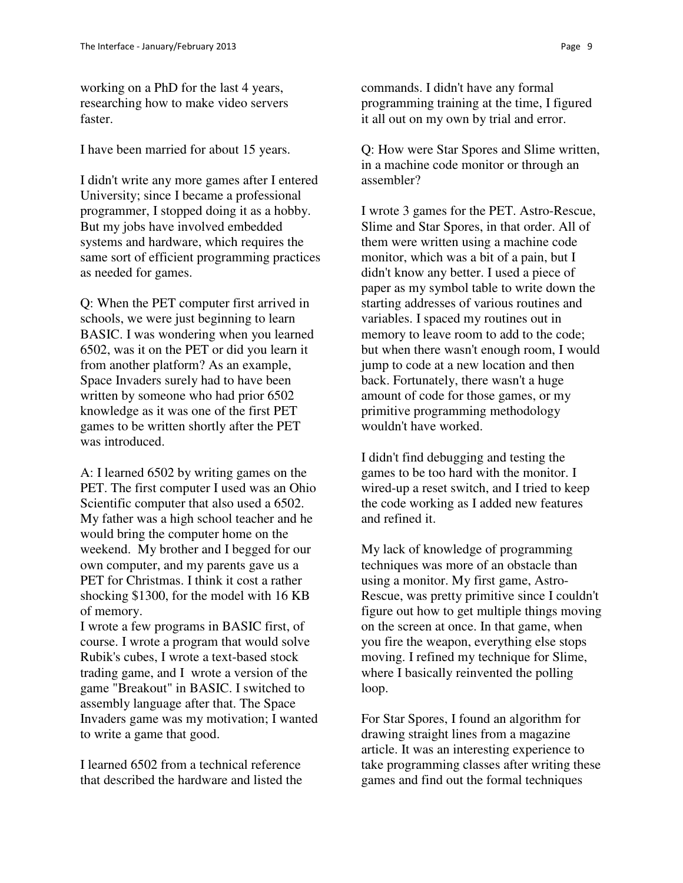working on a PhD for the last 4 years, researching how to make video servers faster.

I have been married for about 15 years.

I didn't write any more games after I entered University; since I became a professional programmer, I stopped doing it as a hobby. But my jobs have involved embedded systems and hardware, which requires the same sort of efficient programming practices as needed for games.

Q: When the PET computer first arrived in schools, we were just beginning to learn BASIC. I was wondering when you learned 6502, was it on the PET or did you learn it from another platform? As an example, Space Invaders surely had to have been written by someone who had prior 6502 knowledge as it was one of the first PET games to be written shortly after the PET was introduced.

A: I learned 6502 by writing games on the PET. The first computer I used was an Ohio Scientific computer that also used a 6502. My father was a high school teacher and he would bring the computer home on the weekend. My brother and I begged for our own computer, and my parents gave us a PET for Christmas. I think it cost a rather shocking \$1300, for the model with 16 KB of memory.

I wrote a few programs in BASIC first, of course. I wrote a program that would solve Rubik's cubes, I wrote a text-based stock trading game, and I wrote a version of the game "Breakout" in BASIC. I switched to assembly language after that. The Space Invaders game was my motivation; I wanted to write a game that good.

I learned 6502 from a technical reference that described the hardware and listed the

commands. I didn't have any formal programming training at the time, I figured it all out on my own by trial and error.

Q: How were Star Spores and Slime written, in a machine code monitor or through an assembler?

I wrote 3 games for the PET. Astro-Rescue, Slime and Star Spores, in that order. All of them were written using a machine code monitor, which was a bit of a pain, but I didn't know any better. I used a piece of paper as my symbol table to write down the starting addresses of various routines and variables. I spaced my routines out in memory to leave room to add to the code; but when there wasn't enough room, I would jump to code at a new location and then back. Fortunately, there wasn't a huge amount of code for those games, or my primitive programming methodology wouldn't have worked.

I didn't find debugging and testing the games to be too hard with the monitor. I wired-up a reset switch, and I tried to keep the code working as I added new features and refined it.

My lack of knowledge of programming techniques was more of an obstacle than using a monitor. My first game, Astro-Rescue, was pretty primitive since I couldn't figure out how to get multiple things moving on the screen at once. In that game, when you fire the weapon, everything else stops moving. I refined my technique for Slime, where I basically reinvented the polling loop.

For Star Spores, I found an algorithm for drawing straight lines from a magazine article. It was an interesting experience to take programming classes after writing these games and find out the formal techniques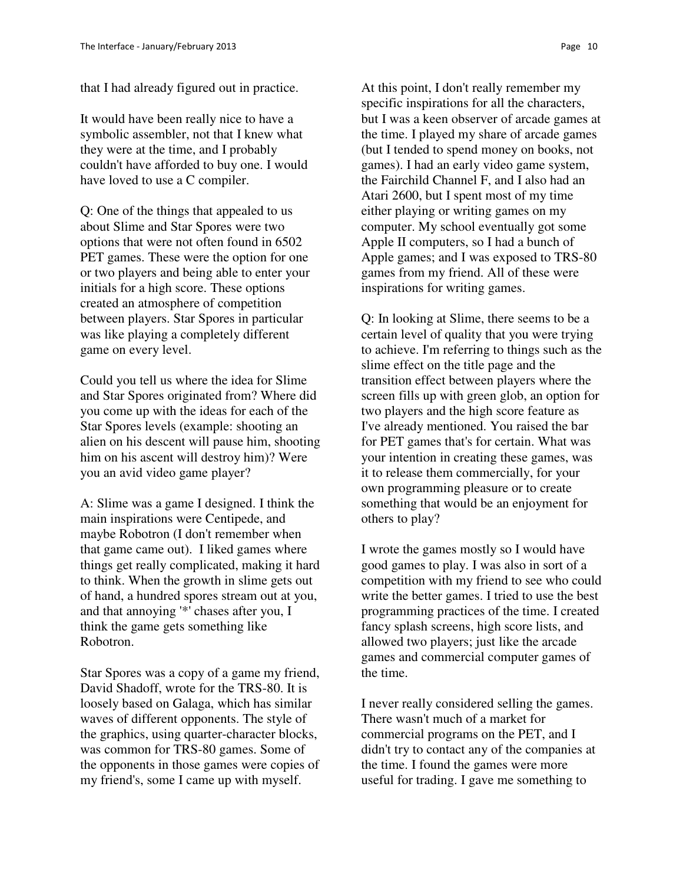that I had already figured out in practice.

It would have been really nice to have a symbolic assembler, not that I knew what they were at the time, and I probably couldn't have afforded to buy one. I would have loved to use a C compiler.

Q: One of the things that appealed to us about Slime and Star Spores were two options that were not often found in 6502 PET games. These were the option for one or two players and being able to enter your initials for a high score. These options created an atmosphere of competition between players. Star Spores in particular was like playing a completely different game on every level.

Could you tell us where the idea for Slime and Star Spores originated from? Where did you come up with the ideas for each of the Star Spores levels (example: shooting an alien on his descent will pause him, shooting him on his ascent will destroy him)? Were you an avid video game player?

A: Slime was a game I designed. I think the main inspirations were Centipede, and maybe Robotron (I don't remember when that game came out). I liked games where things get really complicated, making it hard to think. When the growth in slime gets out of hand, a hundred spores stream out at you, and that annoying '\*' chases after you, I think the game gets something like Robotron.

Star Spores was a copy of a game my friend, David Shadoff, wrote for the TRS-80. It is loosely based on Galaga, which has similar waves of different opponents. The style of the graphics, using quarter-character blocks, was common for TRS-80 games. Some of the opponents in those games were copies of my friend's, some I came up with myself.

At this point, I don't really remember my specific inspirations for all the characters, but I was a keen observer of arcade games at the time. I played my share of arcade games (but I tended to spend money on books, not games). I had an early video game system, the Fairchild Channel F, and I also had an Atari 2600, but I spent most of my time either playing or writing games on my computer. My school eventually got some Apple II computers, so I had a bunch of Apple games; and I was exposed to TRS-80 games from my friend. All of these were inspirations for writing games.

Q: In looking at Slime, there seems to be a certain level of quality that you were trying to achieve. I'm referring to things such as the slime effect on the title page and the transition effect between players where the screen fills up with green glob, an option for two players and the high score feature as I've already mentioned. You raised the bar for PET games that's for certain. What was your intention in creating these games, was it to release them commercially, for your own programming pleasure or to create something that would be an enjoyment for others to play?

I wrote the games mostly so I would have good games to play. I was also in sort of a competition with my friend to see who could write the better games. I tried to use the best programming practices of the time. I created fancy splash screens, high score lists, and allowed two players; just like the arcade games and commercial computer games of the time.

I never really considered selling the games. There wasn't much of a market for commercial programs on the PET, and I didn't try to contact any of the companies at the time. I found the games were more useful for trading. I gave me something to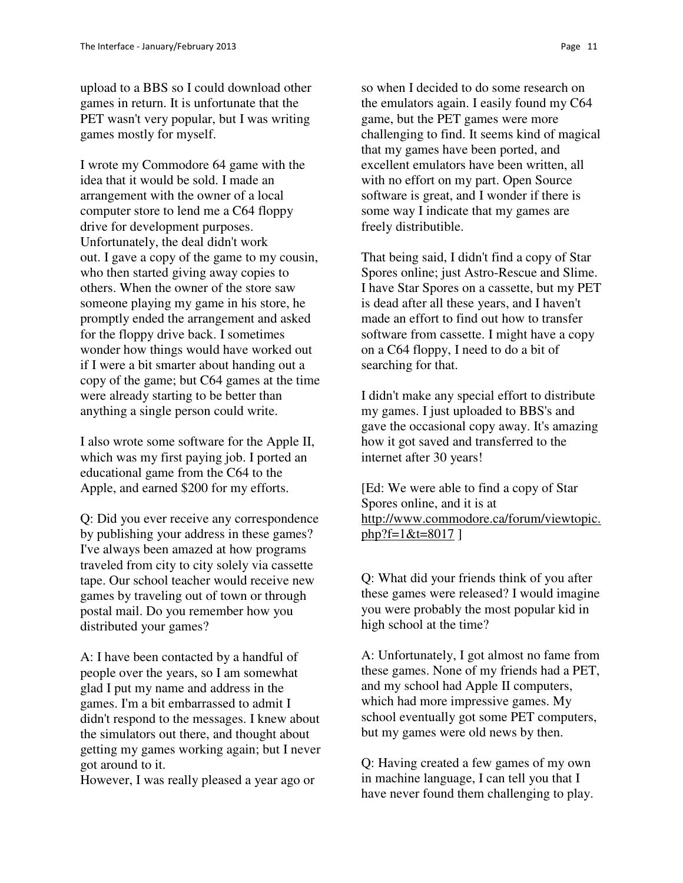upload to a BBS so I could download other games in return. It is unfortunate that the PET wasn't very popular, but I was writing games mostly for myself.

I wrote my Commodore 64 game with the idea that it would be sold. I made an arrangement with the owner of a local computer store to lend me a C64 floppy drive for development purposes. Unfortunately, the deal didn't work out. I gave a copy of the game to my cousin, who then started giving away copies to others. When the owner of the store saw someone playing my game in his store, he promptly ended the arrangement and asked for the floppy drive back. I sometimes wonder how things would have worked out if I were a bit smarter about handing out a copy of the game; but C64 games at the time were already starting to be better than anything a single person could write.

I also wrote some software for the Apple II, which was my first paying job. I ported an educational game from the C64 to the Apple, and earned \$200 for my efforts.

Q: Did you ever receive any correspondence by publishing your address in these games? I've always been amazed at how programs traveled from city to city solely via cassette tape. Our school teacher would receive new games by traveling out of town or through postal mail. Do you remember how you distributed your games?

A: I have been contacted by a handful of people over the years, so I am somewhat glad I put my name and address in the games. I'm a bit embarrassed to admit I didn't respond to the messages. I knew about the simulators out there, and thought about getting my games working again; but I never got around to it.

However, I was really pleased a year ago or

so when I decided to do some research on the emulators again. I easily found my C64 game, but the PET games were more challenging to find. It seems kind of magical that my games have been ported, and excellent emulators have been written, all with no effort on my part. Open Source software is great, and I wonder if there is some way I indicate that my games are freely distributible.

That being said, I didn't find a copy of Star Spores online; just Astro-Rescue and Slime. I have Star Spores on a cassette, but my PET is dead after all these years, and I haven't made an effort to find out how to transfer software from cassette. I might have a copy on a C64 floppy, I need to do a bit of searching for that.

I didn't make any special effort to distribute my games. I just uploaded to BBS's and gave the occasional copy away. It's amazing how it got saved and transferred to the internet after 30 years!

[Ed: We were able to find a copy of Star Spores online, and it is at http://www.commodore.ca/forum/viewtopic.  $php?f=1&E=8017$ 

Q: What did your friends think of you after these games were released? I would imagine you were probably the most popular kid in high school at the time?

A: Unfortunately, I got almost no fame from these games. None of my friends had a PET, and my school had Apple II computers, which had more impressive games. My school eventually got some PET computers, but my games were old news by then.

Q: Having created a few games of my own in machine language, I can tell you that I have never found them challenging to play.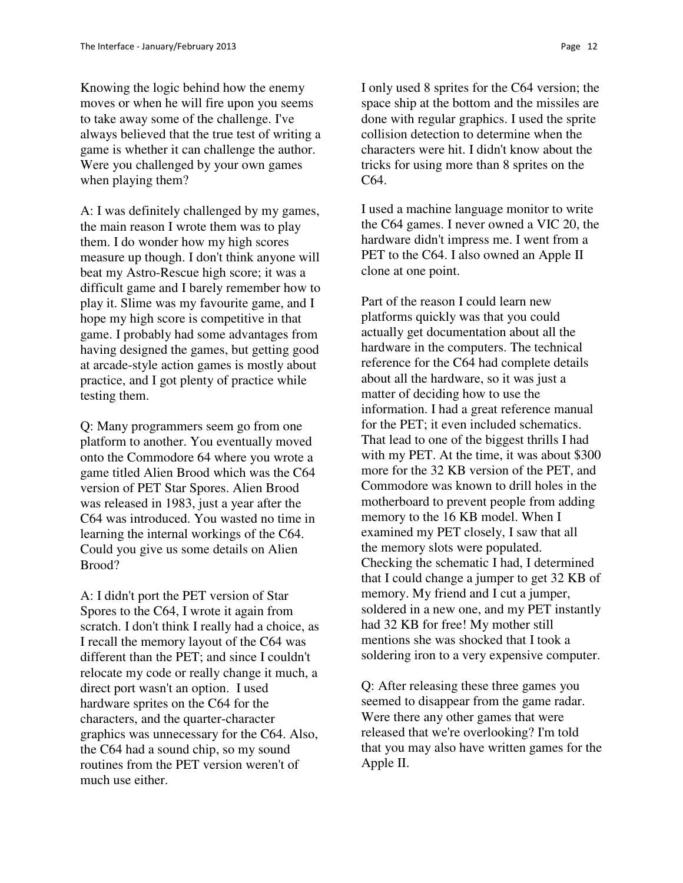Knowing the logic behind how the enemy moves or when he will fire upon you seems to take away some of the challenge. I've always believed that the true test of writing a game is whether it can challenge the author. Were you challenged by your own games when playing them?

A: I was definitely challenged by my games, the main reason I wrote them was to play them. I do wonder how my high scores measure up though. I don't think anyone will beat my Astro-Rescue high score; it was a difficult game and I barely remember how to play it. Slime was my favourite game, and I hope my high score is competitive in that game. I probably had some advantages from having designed the games, but getting good at arcade-style action games is mostly about practice, and I got plenty of practice while testing them.

Q: Many programmers seem go from one platform to another. You eventually moved onto the Commodore 64 where you wrote a game titled Alien Brood which was the C64 version of PET Star Spores. Alien Brood was released in 1983, just a year after the C64 was introduced. You wasted no time in learning the internal workings of the C64. Could you give us some details on Alien Brood?

A: I didn't port the PET version of Star Spores to the C64, I wrote it again from scratch. I don't think I really had a choice, as I recall the memory layout of the C64 was different than the PET; and since I couldn't relocate my code or really change it much, a direct port wasn't an option. I used hardware sprites on the C64 for the characters, and the quarter-character graphics was unnecessary for the C64. Also, the C64 had a sound chip, so my sound routines from the PET version weren't of much use either.

I only used 8 sprites for the C64 version; the space ship at the bottom and the missiles are done with regular graphics. I used the sprite collision detection to determine when the characters were hit. I didn't know about the tricks for using more than 8 sprites on the C64.

I used a machine language monitor to write the C64 games. I never owned a VIC 20, the hardware didn't impress me. I went from a PET to the C64. I also owned an Apple II clone at one point.

Part of the reason I could learn new platforms quickly was that you could actually get documentation about all the hardware in the computers. The technical reference for the C64 had complete details about all the hardware, so it was just a matter of deciding how to use the information. I had a great reference manual for the PET; it even included schematics. That lead to one of the biggest thrills I had with my PET. At the time, it was about \$300 more for the 32 KB version of the PET, and Commodore was known to drill holes in the motherboard to prevent people from adding memory to the 16 KB model. When I examined my PET closely, I saw that all the memory slots were populated. Checking the schematic I had, I determined that I could change a jumper to get 32 KB of memory. My friend and I cut a jumper, soldered in a new one, and my PET instantly had 32 KB for free! My mother still mentions she was shocked that I took a soldering iron to a very expensive computer.

Q: After releasing these three games you seemed to disappear from the game radar. Were there any other games that were released that we're overlooking? I'm told that you may also have written games for the Apple II.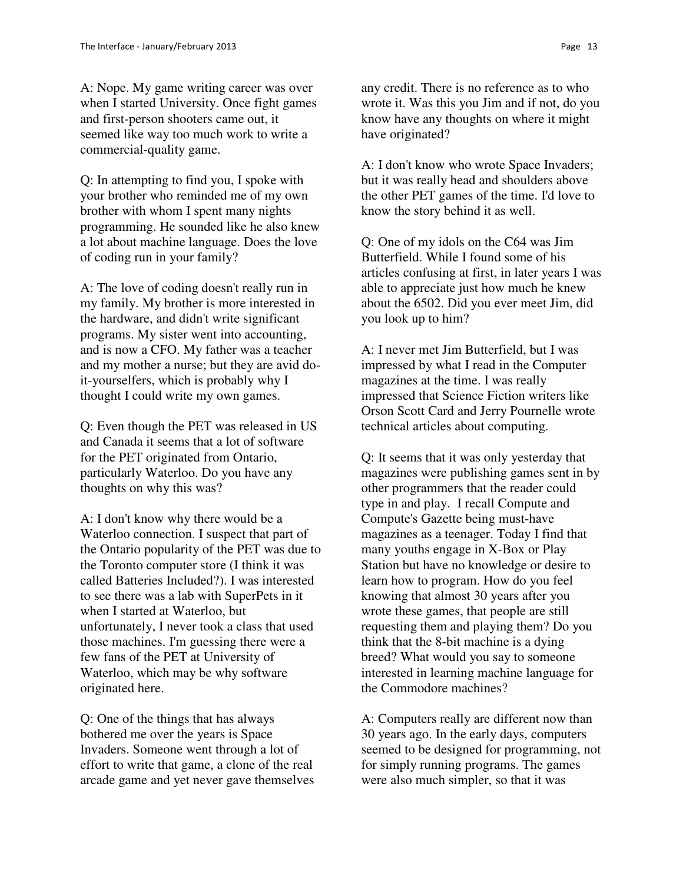A: Nope. My game writing career was over when I started University. Once fight games and first-person shooters came out, it seemed like way too much work to write a commercial-quality game.

Q: In attempting to find you, I spoke with your brother who reminded me of my own brother with whom I spent many nights programming. He sounded like he also knew a lot about machine language. Does the love of coding run in your family?

A: The love of coding doesn't really run in my family. My brother is more interested in the hardware, and didn't write significant programs. My sister went into accounting, and is now a CFO. My father was a teacher and my mother a nurse; but they are avid doit-yourselfers, which is probably why I thought I could write my own games.

Q: Even though the PET was released in US and Canada it seems that a lot of software for the PET originated from Ontario, particularly Waterloo. Do you have any thoughts on why this was?

A: I don't know why there would be a Waterloo connection. I suspect that part of the Ontario popularity of the PET was due to the Toronto computer store (I think it was called Batteries Included?). I was interested to see there was a lab with SuperPets in it when I started at Waterloo, but unfortunately, I never took a class that used those machines. I'm guessing there were a few fans of the PET at University of Waterloo, which may be why software originated here.

Q: One of the things that has always bothered me over the years is Space Invaders. Someone went through a lot of effort to write that game, a clone of the real arcade game and yet never gave themselves

any credit. There is no reference as to who wrote it. Was this you Jim and if not, do you know have any thoughts on where it might have originated?

A: I don't know who wrote Space Invaders; but it was really head and shoulders above the other PET games of the time. I'd love to know the story behind it as well.

Q: One of my idols on the C64 was Jim Butterfield. While I found some of his articles confusing at first, in later years I was able to appreciate just how much he knew about the 6502. Did you ever meet Jim, did you look up to him?

A: I never met Jim Butterfield, but I was impressed by what I read in the Computer magazines at the time. I was really impressed that Science Fiction writers like Orson Scott Card and Jerry Pournelle wrote technical articles about computing.

Q: It seems that it was only yesterday that magazines were publishing games sent in by other programmers that the reader could type in and play. I recall Compute and Compute's Gazette being must-have magazines as a teenager. Today I find that many youths engage in X-Box or Play Station but have no knowledge or desire to learn how to program. How do you feel knowing that almost 30 years after you wrote these games, that people are still requesting them and playing them? Do you think that the 8-bit machine is a dying breed? What would you say to someone interested in learning machine language for the Commodore machines?

A: Computers really are different now than 30 years ago. In the early days, computers seemed to be designed for programming, not for simply running programs. The games were also much simpler, so that it was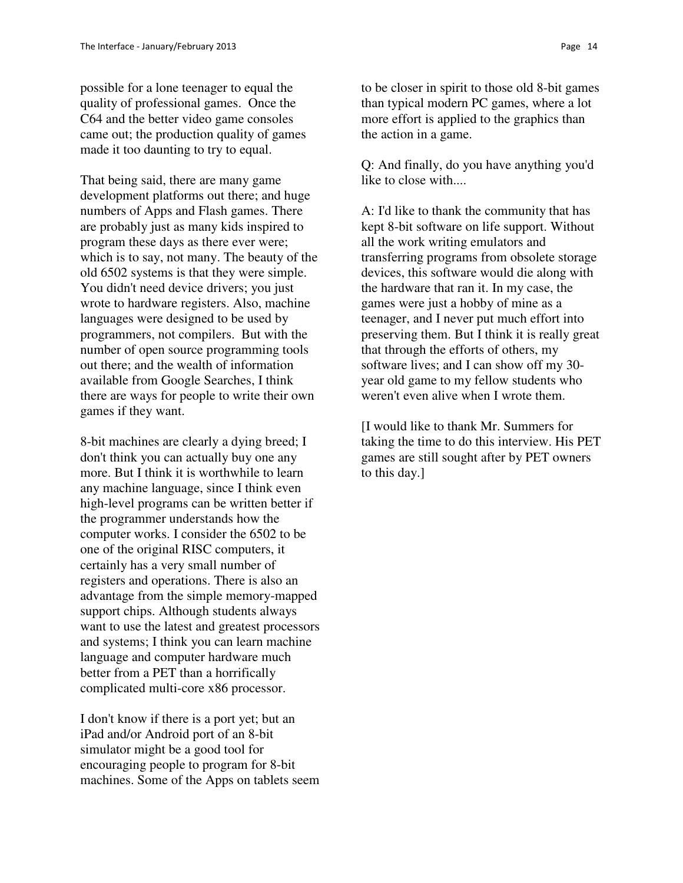possible for a lone teenager to equal the quality of professional games. Once the C64 and the better video game consoles came out; the production quality of games made it too daunting to try to equal.

That being said, there are many game development platforms out there; and huge numbers of Apps and Flash games. There are probably just as many kids inspired to program these days as there ever were; which is to say, not many. The beauty of the old 6502 systems is that they were simple. You didn't need device drivers; you just wrote to hardware registers. Also, machine languages were designed to be used by programmers, not compilers. But with the number of open source programming tools out there; and the wealth of information available from Google Searches, I think there are ways for people to write their own games if they want.

8-bit machines are clearly a dying breed; I don't think you can actually buy one any more. But I think it is worthwhile to learn any machine language, since I think even high-level programs can be written better if the programmer understands how the computer works. I consider the 6502 to be one of the original RISC computers, it certainly has a very small number of registers and operations. There is also an advantage from the simple memory-mapped support chips. Although students always want to use the latest and greatest processors and systems; I think you can learn machine language and computer hardware much better from a PET than a horrifically complicated multi-core x86 processor.

I don't know if there is a port yet; but an iPad and/or Android port of an 8-bit simulator might be a good tool for encouraging people to program for 8-bit machines. Some of the Apps on tablets seem

to be closer in spirit to those old 8-bit games than typical modern PC games, where a lot more effort is applied to the graphics than the action in a game.

Q: And finally, do you have anything you'd like to close with....

A: I'd like to thank the community that has kept 8-bit software on life support. Without all the work writing emulators and transferring programs from obsolete storage devices, this software would die along with the hardware that ran it. In my case, the games were just a hobby of mine as a teenager, and I never put much effort into preserving them. But I think it is really great that through the efforts of others, my software lives; and I can show off my 30 year old game to my fellow students who weren't even alive when I wrote them.

[I would like to thank Mr. Summers for taking the time to do this interview. His PET games are still sought after by PET owners to this day.]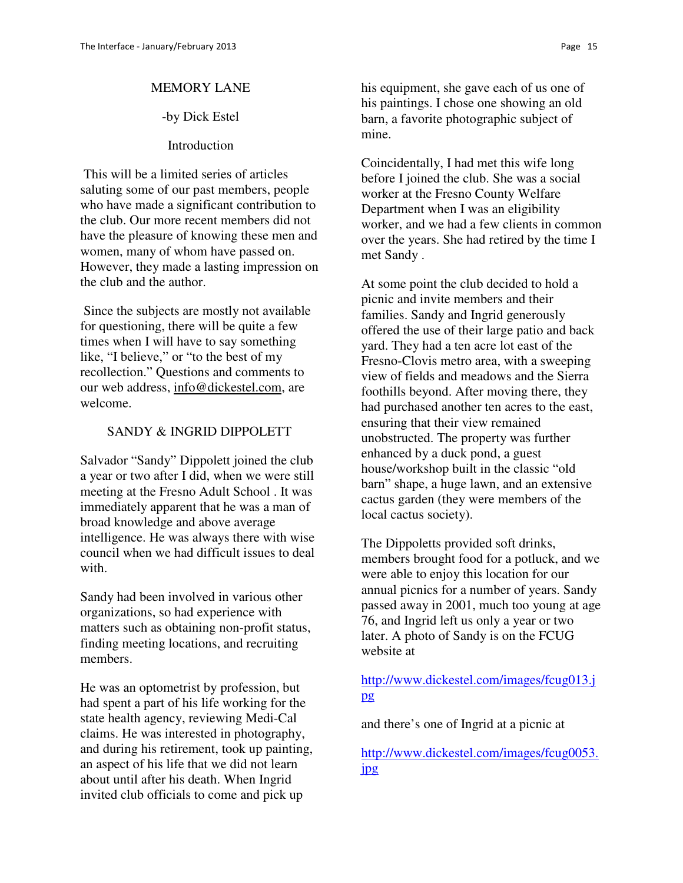#### MEMORY LANE

### -by Dick Estel

#### **Introduction**

 This will be a limited series of articles saluting some of our past members, people who have made a significant contribution to the club. Our more recent members did not have the pleasure of knowing these men and women, many of whom have passed on. However, they made a lasting impression on the club and the author.

 Since the subjects are mostly not available for questioning, there will be quite a few times when I will have to say something like, "I believe," or "to the best of my recollection." Questions and comments to our web address, info@dickestel.com, are welcome.

### SANDY & INGRID DIPPOLETT

Salvador "Sandy" Dippolett joined the club a year or two after I did, when we were still meeting at the Fresno Adult School . It was immediately apparent that he was a man of broad knowledge and above average intelligence. He was always there with wise council when we had difficult issues to deal with.

Sandy had been involved in various other organizations, so had experience with matters such as obtaining non-profit status, finding meeting locations, and recruiting members.

He was an optometrist by profession, but had spent a part of his life working for the state health agency, reviewing Medi-Cal claims. He was interested in photography, and during his retirement, took up painting, an aspect of his life that we did not learn about until after his death. When Ingrid invited club officials to come and pick up

his equipment, she gave each of us one of his paintings. I chose one showing an old barn, a favorite photographic subject of mine.

Coincidentally, I had met this wife long before I joined the club. She was a social worker at the Fresno County Welfare Department when I was an eligibility worker, and we had a few clients in common over the years. She had retired by the time I met Sandy .

At some point the club decided to hold a picnic and invite members and their families. Sandy and Ingrid generously offered the use of their large patio and back yard. They had a ten acre lot east of the Fresno-Clovis metro area, with a sweeping view of fields and meadows and the Sierra foothills beyond. After moving there, they had purchased another ten acres to the east, ensuring that their view remained unobstructed. The property was further enhanced by a duck pond, a guest house/workshop built in the classic "old barn" shape, a huge lawn, and an extensive cactus garden (they were members of the local cactus society).

The Dippoletts provided soft drinks, members brought food for a potluck, and we were able to enjoy this location for our annual picnics for a number of years. Sandy passed away in 2001, much too young at age 76, and Ingrid left us only a year or two later. A photo of Sandy is on the FCUG website at

## http://www.dickestel.com/images/fcug013.j pg

and there's one of Ingrid at a picnic at

http://www.dickestel.com/images/fcug0053. jpg